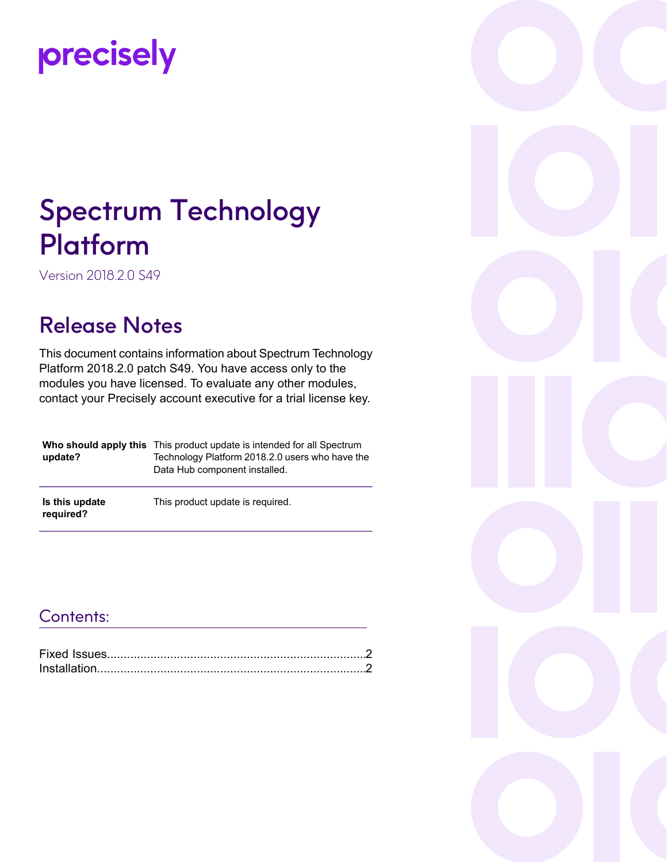# precisely

# Spectrum Technology Platform

Version 2018.2.0 S49

### Release Notes

This document contains information about Spectrum Technology Platform 2018.2.0 patch S49. You have access only to the modules you have licensed. To evaluate any other modules, contact your Precisely account executive for a trial license key.

| update?                     | <b>Who should apply this</b> This product update is intended for all Spectrum<br>Technology Platform 2018.2.0 users who have the<br>Data Hub component installed. |
|-----------------------------|-------------------------------------------------------------------------------------------------------------------------------------------------------------------|
| Is this update<br>required? | This product update is required.                                                                                                                                  |

#### Contents:

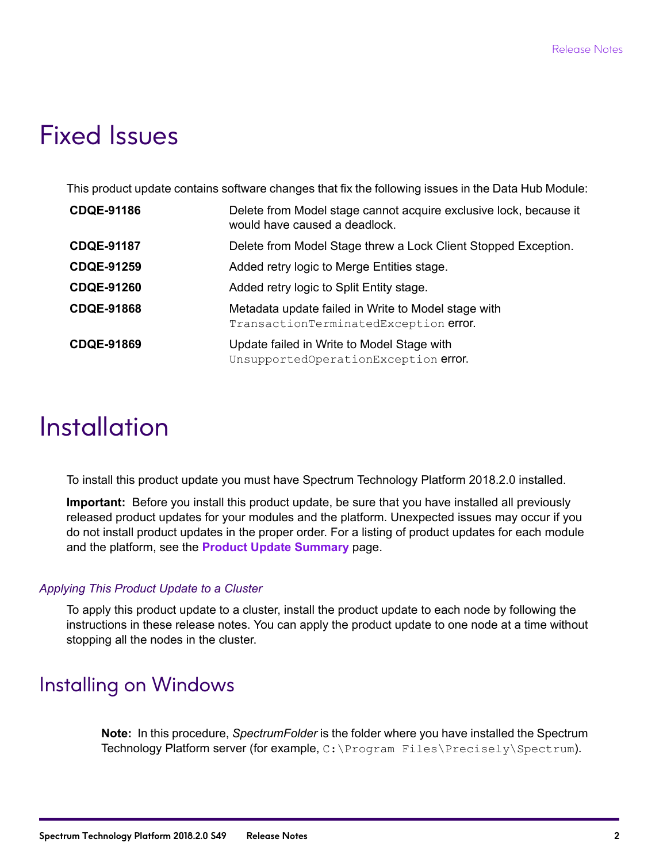## <span id="page-1-0"></span>Fixed Issues

This product update contains software changes that fix the following issues in the Data Hub Module:

| <b>CDQE-91186</b> | Delete from Model stage cannot acquire exclusive lock, because it<br>would have caused a deadlock. |
|-------------------|----------------------------------------------------------------------------------------------------|
| <b>CDQE-91187</b> | Delete from Model Stage threw a Lock Client Stopped Exception.                                     |
| <b>CDQE-91259</b> | Added retry logic to Merge Entities stage.                                                         |
| <b>CDQE-91260</b> | Added retry logic to Split Entity stage.                                                           |
| <b>CDQE-91868</b> | Metadata update failed in Write to Model stage with<br>TransactionTerminatedException error.       |
| <b>CDQE-91869</b> | Update failed in Write to Model Stage with<br>UnsupportedOperationException error.                 |

# <span id="page-1-1"></span>**Installation**

To install this product update you must have Spectrum Technology Platform 2018.2.0 installed.

**Important:** Before you install this product update, be sure that you have installed all previously released product updates for your modules and the platform. Unexpected issues may occur if you do not install product updates in the proper order. For a listing of product updates for each module and the platform, see the **Product Update [Summary](https://docs.precisely.com/docs/sftw/spectrum/ProductUpdateSummary/index.html)** page.

#### *Applying This Product Update to a Cluster*

To apply this product update to a cluster, install the product update to each node by following the instructions in these release notes. You can apply the product update to one node at a time without stopping all the nodes in the cluster.

#### Installing on Windows

**Note:** In this procedure, *SpectrumFolder* is the folder where you have installed the Spectrum Technology Platform server (for example, C:\Program Files\Precisely\Spectrum).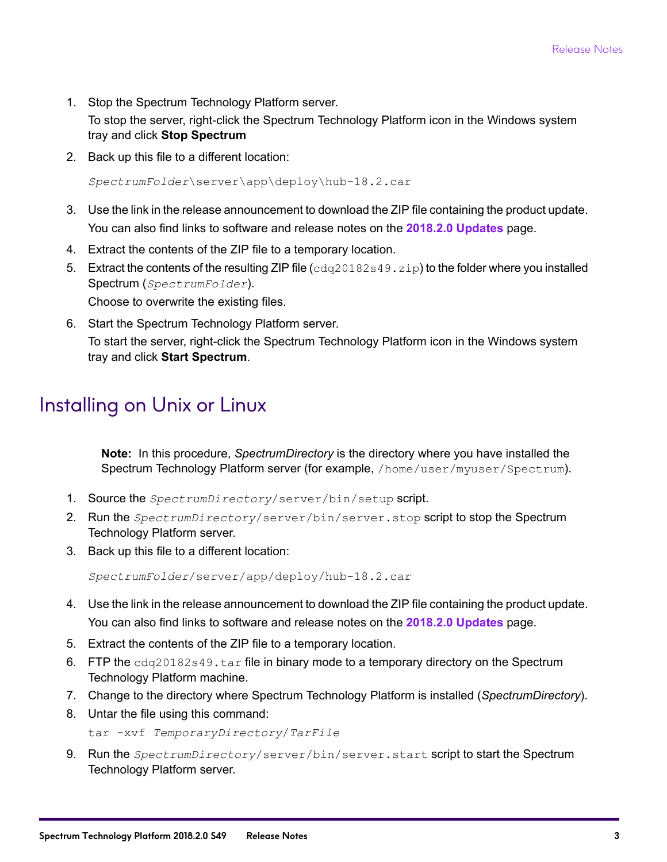1. Stop the Spectrum Technology Platform server.

To stop the server, right-click the Spectrum Technology Platform icon in the Windows system tray and click **Stop Spectrum**

2. Back up this file to a different location:

```
SpectrumFolder\server\app\deploy\hub-18.2.car
```
- 3. Use the link in the release announcement to download the ZIP file containing the product update. You can also find links to software and release notes on the **2018.2.0 [Updates](https://support.pb.com/help/spectrum/ProductUpdateSummary/index.html#ProductUpdateSummary/source/SummaryTable-2018.2.0.html)** page.
- 4. Extract the contents of the ZIP file to a temporary location.
- 5. Extract the contents of the resulting ZIP file  $(cdq20182s49.zip)$  to the folder where you installed Spectrum (*SpectrumFolder*).

Choose to overwrite the existing files.

6. Start the Spectrum Technology Platform server.

To start the server, right-click the Spectrum Technology Platform icon in the Windows system tray and click **Start Spectrum**.

#### Installing on Unix or Linux

**Note:** In this procedure, *SpectrumDirectory* is the directory where you have installed the Spectrum Technology Platform server (for example, /home/user/myuser/Spectrum).

- 1. Source the *SpectrumDirectory*/server/bin/setup script.
- 2. Run the *SpectrumDirectory*/server/bin/server.stop script to stop the Spectrum Technology Platform server.
- 3. Back up this file to a different location:

*SpectrumFolder*/server/app/deploy/hub-18.2.car

- 4. Use the link in the release announcement to download the ZIP file containing the product update. You can also find links to software and release notes on the **2018.2.0 [Updates](https://support.pb.com/help/spectrum/ProductUpdateSummary/index.html#ProductUpdateSummary/source/SummaryTable-2018.2.0.html)** page.
- 5. Extract the contents of the ZIP file to a temporary location.
- 6. FTP the  $cdq20182s49$ . tar file in binary mode to a temporary directory on the Spectrum Technology Platform machine.
- 7. Change to the directory where Spectrum Technology Platform is installed (*SpectrumDirectory*).
- 8. Untar the file using this command:

```
tar -xvf TemporaryDirectory/TarFile
```
9. Run the *SpectrumDirectory*/server/bin/server.start script to start the Spectrum Technology Platform server.